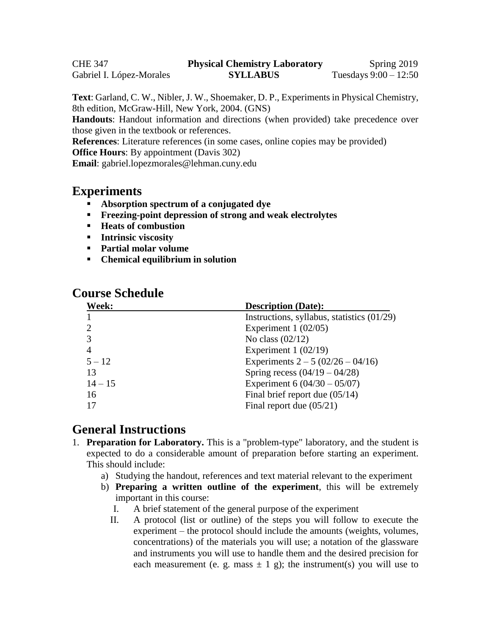**Text**: Garland, C. W., Nibler, J. W., Shoemaker, D. P., Experiments in Physical Chemistry, 8th edition, McGraw-Hill, New York, 2004. (GNS)

**Handouts**: Handout information and directions (when provided) take precedence over those given in the textbook or references.

**References**: Literature references (in some cases, online copies may be provided) **Office Hours:** By appointment (Davis 302)

**Email**: gabriel.lopezmorales@lehman.cuny.edu

#### **Experiments**

- **Absorption spectrum of a conjugated dye**
- **Freezing-point depression of strong and weak electrolytes**
- **Heats of combustion**
- **EXECUTE:** Intrinsic viscosity
- **Partial molar volume**
- **Chemical equilibrium in solution**

| <b>Week:</b>   | <b>Description (Date):</b>                   |
|----------------|----------------------------------------------|
|                | Instructions, syllabus, statistics $(01/29)$ |
|                | Experiment $1(02/05)$                        |
|                | No class $(02/12)$                           |
| $\overline{4}$ | Experiment $1(02/19)$                        |
| $5 - 12$       | Experiments $2 - 5 (02/26 - 04/16)$          |
| 13             | Spring recess $(04/19 - 04/28)$              |
| $14 - 15$      | Experiment 6 $(04/30 - 05/07)$               |
| 16             | Final brief report due $(05/14)$             |
| 17             | Final report due $(05/21)$                   |

#### **Course Schedule**

### **General Instructions**

- 1. **Preparation for Laboratory.** This is a "problem-type" laboratory, and the student is expected to do a considerable amount of preparation before starting an experiment. This should include:
	- a) Studying the handout, references and text material relevant to the experiment
	- b) **Preparing a written outline of the experiment**, this will be extremely important in this course:
		- I. A brief statement of the general purpose of the experiment
		- II. A protocol (list or outline) of the steps you will follow to execute the experiment – the protocol should include the amounts (weights, volumes, concentrations) of the materials you will use; a notation of the glassware and instruments you will use to handle them and the desired precision for each measurement (e. g. mass  $\pm$  1 g); the instrument(s) you will use to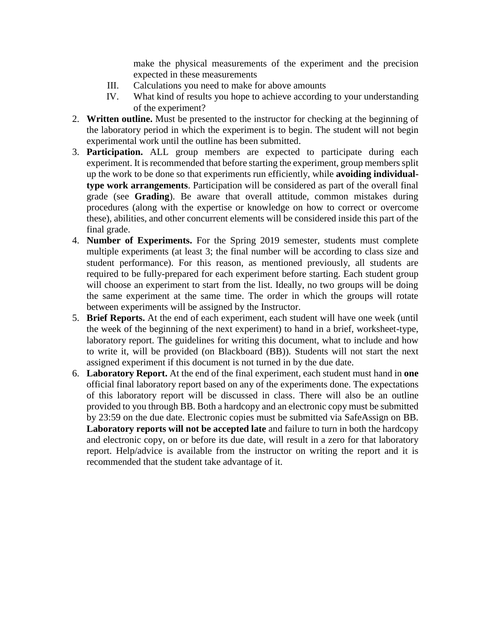make the physical measurements of the experiment and the precision expected in these measurements

- III. Calculations you need to make for above amounts
- IV. What kind of results you hope to achieve according to your understanding of the experiment?
- 2. **Written outline.** Must be presented to the instructor for checking at the beginning of the laboratory period in which the experiment is to begin. The student will not begin experimental work until the outline has been submitted.
- 3. **Participation.** ALL group members are expected to participate during each experiment. It is recommended that before starting the experiment, group members split up the work to be done so that experiments run efficiently, while **avoiding individualtype work arrangements**. Participation will be considered as part of the overall final grade (see **Grading**). Be aware that overall attitude, common mistakes during procedures (along with the expertise or knowledge on how to correct or overcome these), abilities, and other concurrent elements will be considered inside this part of the final grade.
- 4. **Number of Experiments.** For the Spring 2019 semester, students must complete multiple experiments (at least 3; the final number will be according to class size and student performance). For this reason, as mentioned previously, all students are required to be fully-prepared for each experiment before starting. Each student group will choose an experiment to start from the list. Ideally, no two groups will be doing the same experiment at the same time. The order in which the groups will rotate between experiments will be assigned by the Instructor.
- 5. **Brief Reports.** At the end of each experiment, each student will have one week (until the week of the beginning of the next experiment) to hand in a brief, worksheet-type, laboratory report. The guidelines for writing this document, what to include and how to write it, will be provided (on Blackboard (BB)). Students will not start the next assigned experiment if this document is not turned in by the due date.
- 6. **Laboratory Report.** At the end of the final experiment, each student must hand in **one** official final laboratory report based on any of the experiments done. The expectations of this laboratory report will be discussed in class. There will also be an outline provided to you through BB. Both a hardcopy and an electronic copy must be submitted by 23:59 on the due date. Electronic copies must be submitted via SafeAssign on BB. **Laboratory reports will not be accepted late** and failure to turn in both the hardcopy and electronic copy, on or before its due date, will result in a zero for that laboratory report. Help/advice is available from the instructor on writing the report and it is recommended that the student take advantage of it.